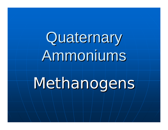Quaternary Ammoniums

Methanogens,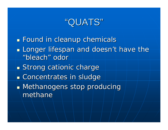## "QUATS"

**Found in cleanup chemicals Longer lifespan and doesn't have the Longer lifespan and doesn't have the** "bleach" odor **Strong cationic charge Exercicentrates in sludge Methanogens stop producing** methane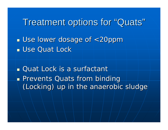Treatment options for "Quats"

**Use lower dosage of <20ppm L** Use Quat Lock

**Quat Lock is a surfactant Prevents Quats from binding** (Locking) up in the anaerobic sludge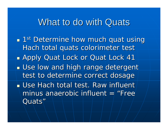## What to do with Quats

**1st Determine how much quat using** Hach total quats colorimeter test **Apply Quat Lock or Quat Lock 41 u** Use low and high range detergent test to determine correct dosage  $\blacksquare$  Use Hach total test. Raw influent/ minus anaerobic influent = "Free $\,$ Quats"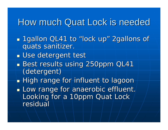## How much Quat Lock is needed

- 1gallon QL41 to "lock up" 2gallons of quats sanitizer.
- **u** Use detergent test
- Best results using 250ppm QL41 (detergent) (detergent)
- High range for influent to lagoon
- $\blacksquare$  Low range for anaerobic effluent. Looking for a 10ppm Quat Lock residual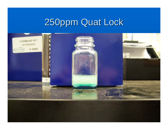# 250ppm Quat Lock 250ppm Quat Lock

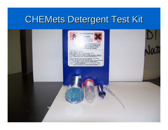## CHEMets Detergent Test Kit

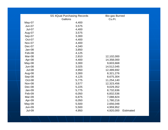|               | <b>SS 4Quat Purchasing Records</b> | Bio-gas Burned |                  |  |
|---------------|------------------------------------|----------------|------------------|--|
|               | Gallons                            | Cu.Ft.         |                  |  |
| May-07        | 4,400                              |                |                  |  |
| $Jun-07$      | 3,575                              |                |                  |  |
| <b>Jul-07</b> | 4,400                              |                |                  |  |
| Aug-07        | 3,575                              |                |                  |  |
| Sep-07        | 3,300                              |                |                  |  |
| Oct-07        | 4,400                              |                |                  |  |
| Nov-07        | 4,400                              |                |                  |  |
| Dec-07        | 4,340                              |                |                  |  |
| Jan-08        | 3,850                              |                |                  |  |
| Feb-08        | 4,125                              |                |                  |  |
| Mar-08        | 2,810                              | 12,102,000     |                  |  |
| Apr-08        | 4,400                              | 14,358,000     |                  |  |
| $May-08$      | 3,300                              | 9,603,668      |                  |  |
| <b>Jun-08</b> | 3,025                              | 14,512,045     |                  |  |
| <b>Jul-08</b> | 4,950                              | 12,489,692     |                  |  |
| Aug-08        | 3,300                              | 8,321,276      |                  |  |
| Sep-08        | 4,125                              | 8,675,304      |                  |  |
| Oct-08        | 5,775                              | 11,254,140     |                  |  |
| <b>Nov-08</b> | 3,577                              | 12,323,456     |                  |  |
| Dec-08        | 5,225                              | 9,029,352      |                  |  |
| Jan-09        | 5,775                              | 8,732,636      |                  |  |
| Feb-09        | 6,050                              | 6,832,536      |                  |  |
| Mar-09        | 6,875                              | 7,088,824      |                  |  |
| Apr-09        | 6,050                              | 1,780,216      |                  |  |
| May-09        | 5,500                              | 2,656,048      |                  |  |
| <b>Jun-09</b> | 5,500                              | 4,959,952      |                  |  |
| <b>Jul-09</b> | 4,950                              | 4,920,000      | <b>Estimated</b> |  |
|               |                                    |                |                  |  |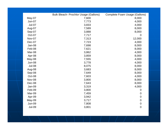|               | <b>Bulk Bleach- Prochlor Usage (Gallons)</b> | <b>Complete Foam Usage (Gallons)</b> |
|---------------|----------------------------------------------|--------------------------------------|
| May-07        | 7,600                                        | 8,000                                |
| <b>Jun-07</b> | 7,773                                        | 4,000                                |
| <b>Jul-07</b> | 3,833                                        | 4,000                                |
| Aug-07        | 7,589                                        | 8,000                                |
| Sep-07        | 3,888                                        | 8,000                                |
| Oct-07        | 7,717                                        | $\mathbf 0$                          |
| Nov-07        | 7,313                                        | 12,000                               |
| Dec-07        | 7,723                                        | 4,000                                |
| Jan-08        | 7,698                                        | 8,000                                |
| Feb-08        | 7,621                                        | 8,000                                |
| Mar-08        | 3,862                                        | 4,000                                |
| Apr-08        | 3,859                                        | 8,000                                |
| May-08        | 7,555                                        | 4,000                                |
| <b>Jun-08</b> | 3,778                                        | 4,000                                |
| <b>Jul-08</b> | 8,075                                        | 8,000                                |
| Aug-08        | 3,683                                        | 8,000                                |
| Sep-08        | 7,649                                        | 8,000                                |
| Oct-08        | 7,603                                        | 4,000                                |
| <b>Nov-08</b> | 3,800                                        | 8,000                                |
| Dec-08        | 7,643                                        | 8,000                                |
| Jan-09        | 3,319                                        | 4,000                                |
| Feb-09        | 3,800                                        | $\mathbf 0$                          |
| Mar-09        | 7,459                                        | $\mathbf 0$                          |
| Apr-09        | 3,942                                        | $\boldsymbol{0}$                     |
| May-09        | 3,717                                        | $\mathbf 0$                          |
| <b>Jun-09</b> | 7,808                                        | $\boldsymbol{0}$                     |
| <b>Jul-09</b> | 3,801                                        | $\mathbf 0$                          |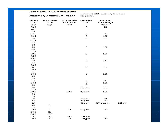#### **John Morrell & Co. Waste Water**

### **Quaternary Ammonium Testing**

: Values as total quaternary ammonium compounds

| Influent<br>Grab<br>mg/l | <b>DAF Effluent</b><br>Grab<br>mg/l | <b>City Sample</b><br>Composite<br>mg/l | <b>City Flow</b><br><b>GPM</b> | <b>KO Quat</b><br><b>Killer Usage</b><br>Gallons |          |
|--------------------------|-------------------------------------|-----------------------------------------|--------------------------------|--------------------------------------------------|----------|
| 23.6                     |                                     |                                         | $\mathbf O$                    | 75                                               |          |
| 24.5                     |                                     |                                         |                                |                                                  |          |
| 24                       |                                     |                                         |                                |                                                  |          |
| 16.6                     |                                     |                                         | ${\bf O}$                      | 75                                               |          |
| 19.4                     |                                     |                                         | ${\bf O}$                      | 150                                              |          |
| 38                       |                                     |                                         | $\mathbf O$                    | 150                                              |          |
| 22.4                     |                                     |                                         |                                |                                                  |          |
| 25                       |                                     |                                         |                                |                                                  |          |
| 23                       |                                     |                                         |                                |                                                  |          |
| 28                       |                                     |                                         | ${\bf O}$                      | 150                                              |          |
| 26                       |                                     |                                         |                                |                                                  |          |
| 21.5                     |                                     |                                         |                                |                                                  |          |
| 29.5                     |                                     |                                         | ${\bf O}$                      | 150                                              |          |
| 25.5                     |                                     |                                         |                                |                                                  |          |
| 25.5                     |                                     |                                         |                                |                                                  |          |
| 29                       |                                     |                                         | $\mathbf O$                    | 150                                              |          |
| 16                       |                                     |                                         |                                |                                                  |          |
| 23.5                     |                                     |                                         |                                |                                                  |          |
| 18.8                     |                                     |                                         | ${\bf O}$                      | 150                                              |          |
| 25.5                     |                                     |                                         |                                |                                                  |          |
| 31                       |                                     |                                         |                                |                                                  |          |
| 25.6                     |                                     |                                         | ${\bf O}$                      | 150                                              |          |
| 25                       |                                     |                                         |                                |                                                  |          |
| 26                       |                                     |                                         |                                |                                                  |          |
| 26                       |                                     |                                         | ${\bf O}$                      | 150                                              |          |
| 24.4                     |                                     |                                         | ${\bf O}$                      | 150                                              |          |
| 28                       |                                     |                                         | $\mathbf O$                    |                                                  |          |
| 20                       |                                     |                                         | 25 gpm                         | 150                                              |          |
| 27.5                     |                                     |                                         |                                |                                                  |          |
| 19.6                     |                                     | 20.8                                    | 25 gpm                         | 150                                              |          |
| 26                       |                                     |                                         |                                |                                                  |          |
| 18                       |                                     |                                         |                                |                                                  |          |
| $10$                     |                                     |                                         | 25 gpm                         | 75                                               |          |
| 1.6                      |                                     |                                         | 25 gpm                         | 75                                               |          |
| 2.4                      |                                     |                                         | 50 gpm                         | 400 mls/min.                                     | 152 gal. |
| 28                       | 25                                  |                                         |                                |                                                  |          |
| 22                       |                                     |                                         |                                |                                                  |          |
| 22.8                     | $\overline{7}$                      | 22                                      | 50 gpm                         | 152                                              |          |
| 25.5                     | 28                                  |                                         |                                |                                                  |          |
| 15.3                     | 19.9                                |                                         |                                |                                                  |          |
| 19.6                     | 17.6                                | 19.6                                    | 100 gpm                        | 152                                              |          |
| 19.2                     | 17.2                                | 24                                      | 100gpm                         | 152                                              |          |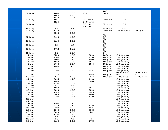|            |                |      |           | 100         |               |           |
|------------|----------------|------|-----------|-------------|---------------|-----------|
| 22-May     | 18.8           | 18.8 | 15.2      | gpm         | 152           |           |
|            | 16.5           | 21.5 |           |             |               |           |
|            | 14.5           | 20.5 |           |             |               |           |
| 23-May     | 18.5           |      | 20 grab   | Flow off    | 152           |           |
|            | 12.5           |      | 24.5 grab |             |               |           |
| 24-May     | $\overline{7}$ |      | 3.0 grab  | Flow off    | 130           |           |
|            | 1.4            |      | 1.1 grab  |             |               |           |
| 25-May     | 3.2            | 1.4  |           | Flow off    | 120           |           |
| 26-May     | 17.2           | 23.2 |           | Flow off    | 500 mls./min. | 200 gal.  |
|            | 25.5           | 22.5 |           |             |               |           |
|            |                |      |           | Flow        |               |           |
| 27-May     | 21.6           | 15.6 |           | Off         |               |           |
|            | 21.5           | 26.5 |           | Flow<br>Off |               |           |
| 28-May     |                |      |           | Flow        |               |           |
| 29-May     | 19             | 14   |           | Off         |               |           |
|            |                |      |           | Flow        |               |           |
| 30-May     | 17.2           | 21.2 |           | Off         |               |           |
|            |                |      |           | Flow        |               |           |
| 31-May     | 8.6            | 15.4 |           | Off         |               |           |
| $1 - Jun$  | 25.0           | 17.2 | 22.0      | 100gpm      | 150 gal/day   |           |
| 2-Jun      | 23.0           | 14.0 | 21.0      | 100gpm      | 150 gal/day   |           |
| 3-Jun      | 30.0           | 15.0 | 10.0      | 100gpm      | 150 gal/day   |           |
| 4-Jun      | 16.0           | 6.0  | 9.0       | 100gpm      | 150 gal/day   |           |
| 5-Jun      | 20.4           | 16.4 | 18.4      | 100gpm      | 150 gal/day   |           |
| 6-Jun      | 14.5           | 7.5  |           | 100gpm      | 150 gal/day   |           |
| 7-Jun      |                |      |           | 100gpm      | 150 gal/day   |           |
| 8-Jun      | 22.0           | 12.8 | 5.6       | 100gpm      | 150 gal/day   |           |
|            |                |      |           |             | South DAF     | North DAF |
| 9-Jun      | 23.5           | 20.0 | 10.8      | 100gpm      | <b>EFF</b>    | Eff       |
| $10 - Jun$ | 21.5           | 13.6 | 20.4      | 100gpm      | 25 grab       | 25 grab   |
| $11 - Jun$ | 22.5           | 14.8 | 14.8      |             | 150 gal/day   |           |
| $12$ -Jun  | 14.0           |      | 20.8      |             | 150 gal/day   |           |
| $13 - Jun$ | 21.0           | 20.5 |           |             | 150 gal/day   |           |
| $14 - Jun$ | 3.0            | 6.5  |           |             | 150 gal/day   |           |
| $15 - Jun$ | 10.0           | 5.0  | 2.5       |             | 150 gal/day   |           |
| $16 - Jun$ | 22.0           | 18.0 | 22.0      |             | 150 gal/day   |           |
| $17 - Jun$ | 19.5           | 19.0 | 20.5      |             | 150 gal/day   |           |
| $18 - Jun$ | 20.5           | 21.0 | 19.0      |             | 150 gal/day   |           |
| $19 - Jun$ | 23.0           | 21.5 | 17.0      |             | 150 gal/day   |           |
| $20 - Jun$ |                |      |           |             | 150 gal/day   |           |
| $21 - Jun$ |                |      |           |             | 150 gal/day   |           |
| 22-Jun     | 25.0           | 14.5 |           |             | 150 gal/day   |           |
| 23-Jun     | 21.5           | 22.0 | 17.5      |             | 150 gal/day   |           |
| $24 - Jun$ | 22.0           | 22.0 | 18.5      |             | 150 gal/day   |           |
| $25 - Jun$ | 19.0           | 22.5 | 20.5      |             | 150 gal/day   |           |
| $26 - Jun$ | 20.0           | 22.0 | 19        |             | 150 gal/day   |           |
| 27-Jun     | 12.0           | 12.5 |           |             | 150 gal/day   |           |
| $28 - Jun$ |                | 12.5 |           |             |               |           |
| 29-Jun     | 2.5            |      |           |             | 150 gal/day   |           |
|            | 2.0            | 4.5  | 6         |             | 150 gal/day   |           |
| 30-Jun     | 21.5           | 20.5 | 17.5      |             | 150 gal/day   |           |